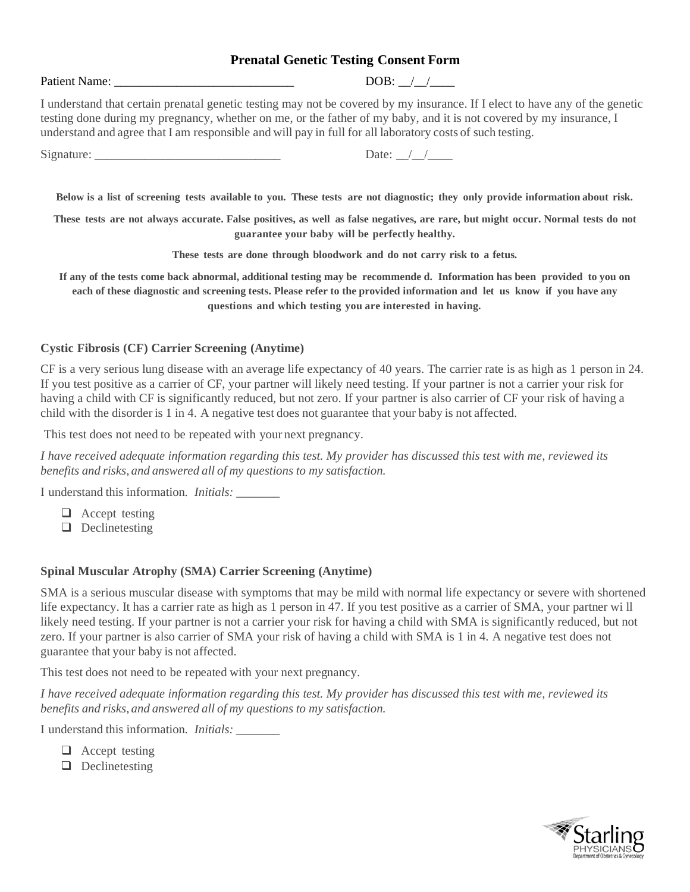## **Prenatal Genetic Testing Consent Form**

Patient Name:  $DOB: / /$ 

I understand that certain prenatal genetic testing may not be covered by my insurance. If I elect to have any of the genetic testing done during my pregnancy, whether on me, or the father of my baby, and it is not covered by my insurance, I understand and agree that I am responsible and will pay in full for all laboratory costs of such testing.

| $\sim$<br>Signature: | Jate |
|----------------------|------|
|----------------------|------|

Below is a list of screening tests available to you. These tests are not diagnostic; they only provide information about risk.

These tests are not always accurate. False positives, as well as false negatives, are rare, but might occur. Normal tests do not **guarantee your baby will be perfectly healthy.**

**These tests are done through bloodwork and do not carry risk to a fetus.**

**If any of the tests come back abnormal, additional testing may be recommende d. Information has been provided to you on each of these diagnostic and screening tests. Please refer to the provided information and let us know if you have any questions and which testing you are interested in having.**

#### **Cystic Fibrosis (CF) Carrier Screening (Anytime)**

CF is a very serious lung disease with an average life expectancy of 40 years. The carrier rate is as high as 1 person in 24. If you test positive as a carrier of CF, your partner will likely need testing. If your partner is not a carrier your risk for having a child with CF is significantly reduced, but not zero. If your partner is also carrier of CF your risk of having a child with the disorder is 1 in 4. A negative test does not guarantee that your baby is not affected.

This test does not need to be repeated with your next pregnancy.

*I have received adequate information regarding this test. My provider has discussed this test with me, reviewed its benefits and risks, and answered all of my questions to my satisfaction.*

I understand this information*. Initials: \_\_\_\_\_\_\_*

❑ Accept testing

❑ Declinetesting

#### **Spinal Muscular Atrophy (SMA) Carrier Screening (Anytime)**

SMA is a serious muscular disease with symptoms that may be mild with normal life expectancy or severe with shortened life expectancy. It has a carrier rate as high as 1 person in 47. If you test positive as a carrier of SMA, your partner wi ll likely need testing. If your partner is not a carrier your risk for having a child with SMA is significantly reduced, but not zero. If your partner is also carrier of SMA your risk of having a child with SMA is 1 in 4. A negative test does not guarantee that your baby is not affected.

This test does not need to be repeated with your next pregnancy.

*I have received adequate information regarding this test. My provider has discussed this test with me, reviewed its benefits and risks, and answered all of my questions to my satisfaction.*

I understand this information*. Initials: \_\_\_\_\_\_\_*

- ❑ Accept testing
- ❑ Declinetesting

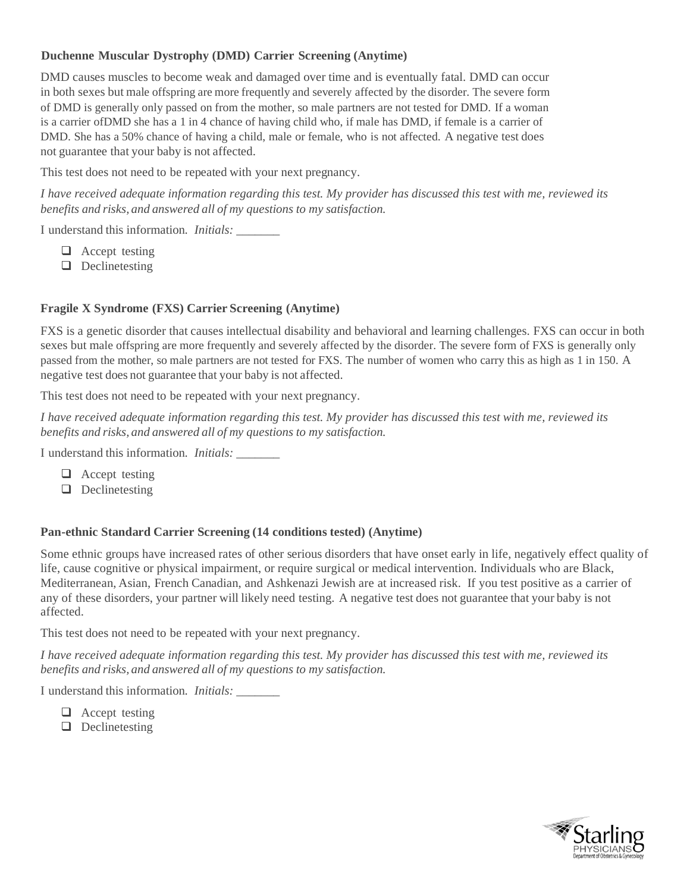# **Duchenne Muscular Dystrophy (DMD) Carrier Screening (Anytime)**

DMD causes muscles to become weak and damaged over time and is eventually fatal. DMD can occur in both sexes but male offspring are more frequently and severely affected by the disorder. The severe form of DMD is generally only passed on from the mother, so male partners are not tested for DMD. If a woman is a carrier ofDMD she has a 1 in 4 chance of having child who, if male has DMD, if female is a carrier of DMD. She has a 50% chance of having a child, male or female, who is not affected. A negative test does not guarantee that your baby is not affected.

This test does not need to be repeated with your next pregnancy.

*I have received adequate information regarding this test. My provider has discussed this test with me, reviewed its benefits and risks, and answered all of my questions to my satisfaction.*

I understand this information*. Initials: \_\_\_\_\_\_\_*

- ❑ Accept testing
- ❑ Declinetesting

## **Fragile X Syndrome (FXS) Carrier Screening (Anytime)**

FXS is a genetic disorder that causes intellectual disability and behavioral and learning challenges. FXS can occur in both sexes but male offspring are more frequently and severely affected by the disorder. The severe form of FXS is generally only passed from the mother, so male partners are not tested for FXS. The number of women who carry this as high as 1 in 150. A negative test does not guarantee that your baby is not affected.

This test does not need to be repeated with your next pregnancy.

*I have received adequate information regarding this test. My provider has discussed this test with me, reviewed its benefits and risks, and answered all of my questions to my satisfaction.*

I understand this information*. Initials: \_\_\_\_\_\_\_*

- ❑ Accept testing
- ❑ Declinetesting

#### **Pan-ethnic Standard Carrier Screening (14 conditions tested) (Anytime)**

Some ethnic groups have increased rates of other serious disorders that have onset early in life, negatively effect quality of life, cause cognitive or physical impairment, or require surgical or medical intervention. Individuals who are Black, Mediterranean, Asian, French Canadian, and Ashkenazi Jewish are at increased risk. If you test positive as a carrier of any of these disorders, your partner will likely need testing. A negative test does not guarantee that your baby is not affected.

This test does not need to be repeated with your next pregnancy.

*I have received adequate information regarding this test. My provider has discussed this test with me, reviewed its benefits and risks, and answered all of my questions to my satisfaction.*

I understand this information*. Initials: \_\_\_\_\_\_\_*

- ❑ Accept testing
- ❑ Declinetesting